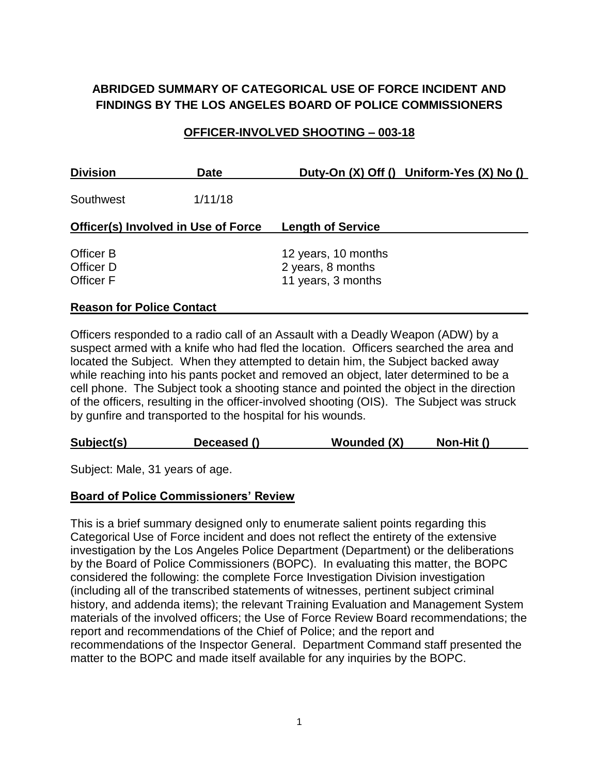# **ABRIDGED SUMMARY OF CATEGORICAL USE OF FORCE INCIDENT AND FINDINGS BY THE LOS ANGELES BOARD OF POLICE COMMISSIONERS**

#### **OFFICER-INVOLVED SHOOTING – 003-18**

| <b>Division</b>                     | <b>Date</b> | Duty-On (X) Off () Uniform-Yes (X) No () |  |
|-------------------------------------|-------------|------------------------------------------|--|
| Southwest                           | 1/11/18     |                                          |  |
| Officer(s) Involved in Use of Force |             | <b>Length of Service</b>                 |  |
| Officer B                           |             | 12 years, 10 months                      |  |
| Officer D<br><b>Officer F</b>       |             | 2 years, 8 months<br>11 years, 3 months  |  |
|                                     |             |                                          |  |

#### **Reason for Police Contact**

Officers responded to a radio call of an Assault with a Deadly Weapon (ADW) by a suspect armed with a knife who had fled the location. Officers searched the area and located the Subject. When they attempted to detain him, the Subject backed away while reaching into his pants pocket and removed an object, later determined to be a cell phone. The Subject took a shooting stance and pointed the object in the direction of the officers, resulting in the officer-involved shooting (OIS). The Subject was struck by gunfire and transported to the hospital for his wounds.

| <b>Wounded (X)</b><br>Subject(s)<br>Non-Hit ()<br>Deceased () |  |
|---------------------------------------------------------------|--|
|---------------------------------------------------------------|--|

Subject: Male, 31 years of age.

#### **Board of Police Commissioners' Review**

This is a brief summary designed only to enumerate salient points regarding this Categorical Use of Force incident and does not reflect the entirety of the extensive investigation by the Los Angeles Police Department (Department) or the deliberations by the Board of Police Commissioners (BOPC). In evaluating this matter, the BOPC considered the following: the complete Force Investigation Division investigation (including all of the transcribed statements of witnesses, pertinent subject criminal history, and addenda items); the relevant Training Evaluation and Management System materials of the involved officers; the Use of Force Review Board recommendations; the report and recommendations of the Chief of Police; and the report and recommendations of the Inspector General. Department Command staff presented the matter to the BOPC and made itself available for any inquiries by the BOPC.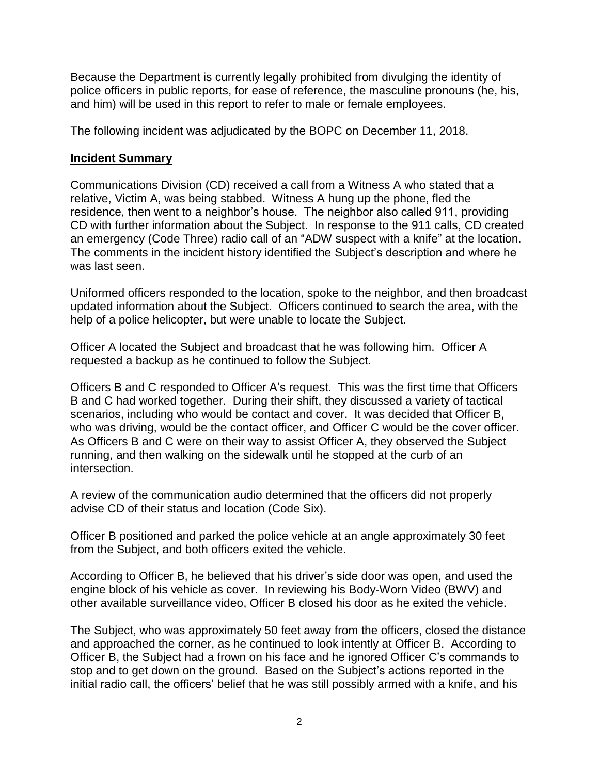Because the Department is currently legally prohibited from divulging the identity of police officers in public reports, for ease of reference, the masculine pronouns (he, his, and him) will be used in this report to refer to male or female employees.

The following incident was adjudicated by the BOPC on December 11, 2018.

## **Incident Summary**

Communications Division (CD) received a call from a Witness A who stated that a relative, Victim A, was being stabbed. Witness A hung up the phone, fled the residence, then went to a neighbor's house. The neighbor also called 911, providing CD with further information about the Subject. In response to the 911 calls, CD created an emergency (Code Three) radio call of an "ADW suspect with a knife" at the location. The comments in the incident history identified the Subject's description and where he was last seen.

Uniformed officers responded to the location, spoke to the neighbor, and then broadcast updated information about the Subject. Officers continued to search the area, with the help of a police helicopter, but were unable to locate the Subject.

Officer A located the Subject and broadcast that he was following him. Officer A requested a backup as he continued to follow the Subject.

Officers B and C responded to Officer A's request. This was the first time that Officers B and C had worked together. During their shift, they discussed a variety of tactical scenarios, including who would be contact and cover. It was decided that Officer B, who was driving, would be the contact officer, and Officer C would be the cover officer. As Officers B and C were on their way to assist Officer A, they observed the Subject running, and then walking on the sidewalk until he stopped at the curb of an intersection.

A review of the communication audio determined that the officers did not properly advise CD of their status and location (Code Six).

Officer B positioned and parked the police vehicle at an angle approximately 30 feet from the Subject, and both officers exited the vehicle.

According to Officer B, he believed that his driver's side door was open, and used the engine block of his vehicle as cover. In reviewing his Body-Worn Video (BWV) and other available surveillance video, Officer B closed his door as he exited the vehicle.

The Subject, who was approximately 50 feet away from the officers, closed the distance and approached the corner, as he continued to look intently at Officer B. According to Officer B, the Subject had a frown on his face and he ignored Officer C's commands to stop and to get down on the ground. Based on the Subject's actions reported in the initial radio call, the officers' belief that he was still possibly armed with a knife, and his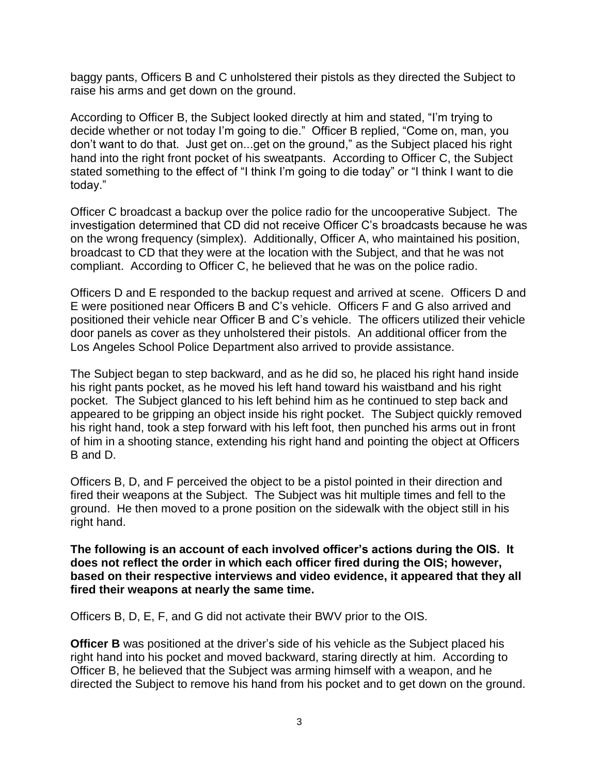baggy pants, Officers B and C unholstered their pistols as they directed the Subject to raise his arms and get down on the ground.

According to Officer B, the Subject looked directly at him and stated, "I'm trying to decide whether or not today I'm going to die." Officer B replied, "Come on, man, you don't want to do that. Just get on...get on the ground," as the Subject placed his right hand into the right front pocket of his sweatpants. According to Officer C, the Subject stated something to the effect of "I think I'm going to die today" or "I think I want to die today."

Officer C broadcast a backup over the police radio for the uncooperative Subject. The investigation determined that CD did not receive Officer C's broadcasts because he was on the wrong frequency (simplex). Additionally, Officer A, who maintained his position, broadcast to CD that they were at the location with the Subject, and that he was not compliant. According to Officer C, he believed that he was on the police radio.

Officers D and E responded to the backup request and arrived at scene. Officers D and E were positioned near Officers B and C's vehicle. Officers F and G also arrived and positioned their vehicle near Officer B and C's vehicle. The officers utilized their vehicle door panels as cover as they unholstered their pistols. An additional officer from the Los Angeles School Police Department also arrived to provide assistance.

The Subject began to step backward, and as he did so, he placed his right hand inside his right pants pocket, as he moved his left hand toward his waistband and his right pocket. The Subject glanced to his left behind him as he continued to step back and appeared to be gripping an object inside his right pocket. The Subject quickly removed his right hand, took a step forward with his left foot, then punched his arms out in front of him in a shooting stance, extending his right hand and pointing the object at Officers B and D.

Officers B, D, and F perceived the object to be a pistol pointed in their direction and fired their weapons at the Subject. The Subject was hit multiple times and fell to the ground. He then moved to a prone position on the sidewalk with the object still in his right hand.

**The following is an account of each involved officer's actions during the OIS. It does not reflect the order in which each officer fired during the OIS; however, based on their respective interviews and video evidence, it appeared that they all fired their weapons at nearly the same time.**

Officers B, D, E, F, and G did not activate their BWV prior to the OIS.

**Officer B** was positioned at the driver's side of his vehicle as the Subject placed his right hand into his pocket and moved backward, staring directly at him. According to Officer B, he believed that the Subject was arming himself with a weapon, and he directed the Subject to remove his hand from his pocket and to get down on the ground.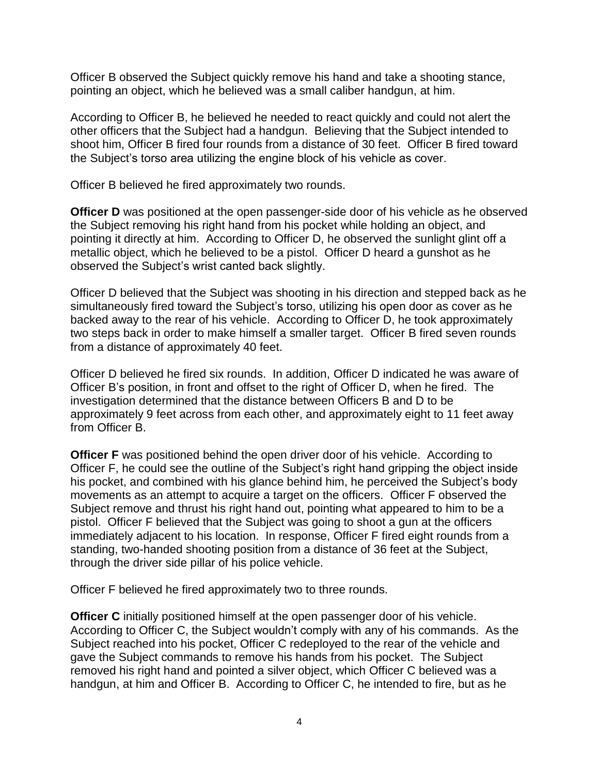Officer B observed the Subject quickly remove his hand and take a shooting stance, pointing an object, which he believed was a small caliber handgun, at him.

According to Officer B, he believed he needed to react quickly and could not alert the other officers that the Subject had a handgun. Believing that the Subject intended to shoot him, Officer B fired four rounds from a distance of 30 feet. Officer B fired toward the Subject's torso area utilizing the engine block of his vehicle as cover.

Officer B believed he fired approximately two rounds.

**Officer D** was positioned at the open passenger-side door of his vehicle as he observed the Subject removing his right hand from his pocket while holding an object, and pointing it directly at him. According to Officer D, he observed the sunlight glint off a metallic object, which he believed to be a pistol. Officer D heard a gunshot as he observed the Subject's wrist canted back slightly.

Officer D believed that the Subject was shooting in his direction and stepped back as he simultaneously fired toward the Subject's torso, utilizing his open door as cover as he backed away to the rear of his vehicle. According to Officer D, he took approximately two steps back in order to make himself a smaller target. Officer B fired seven rounds from a distance of approximately 40 feet.

Officer D believed he fired six rounds. In addition, Officer D indicated he was aware of Officer B's position, in front and offset to the right of Officer D, when he fired. The investigation determined that the distance between Officers B and D to be approximately 9 feet across from each other, and approximately eight to 11 feet away from Officer B.

**Officer F** was positioned behind the open driver door of his vehicle. According to Officer F, he could see the outline of the Subject's right hand gripping the object inside his pocket, and combined with his glance behind him, he perceived the Subject's body movements as an attempt to acquire a target on the officers. Officer F observed the Subject remove and thrust his right hand out, pointing what appeared to him to be a pistol. Officer F believed that the Subject was going to shoot a gun at the officers immediately adjacent to his location. In response, Officer F fired eight rounds from a standing, two-handed shooting position from a distance of 36 feet at the Subject, through the driver side pillar of his police vehicle.

Officer F believed he fired approximately two to three rounds.

**Officer C** initially positioned himself at the open passenger door of his vehicle. According to Officer C, the Subject wouldn't comply with any of his commands. As the Subject reached into his pocket, Officer C redeployed to the rear of the vehicle and gave the Subject commands to remove his hands from his pocket. The Subject removed his right hand and pointed a silver object, which Officer C believed was a handgun, at him and Officer B. According to Officer C, he intended to fire, but as he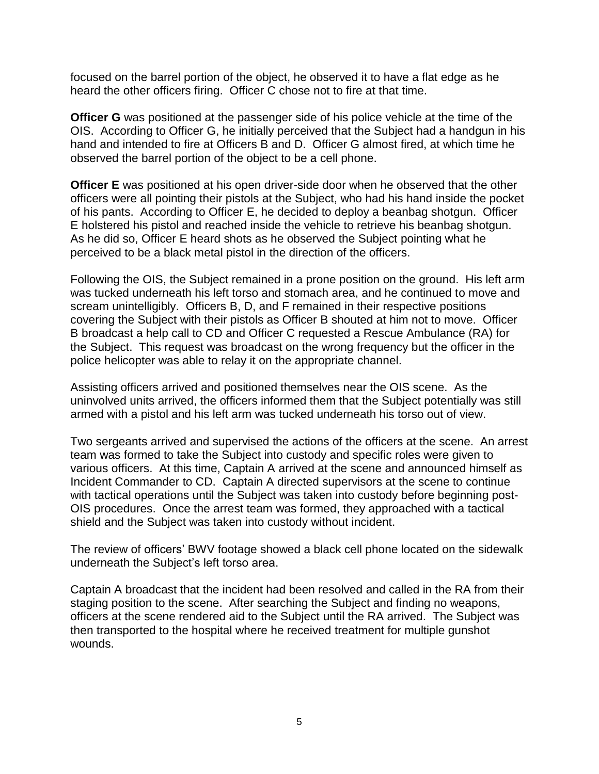focused on the barrel portion of the object, he observed it to have a flat edge as he heard the other officers firing. Officer C chose not to fire at that time.

**Officer G** was positioned at the passenger side of his police vehicle at the time of the OIS. According to Officer G, he initially perceived that the Subject had a handgun in his hand and intended to fire at Officers B and D. Officer G almost fired, at which time he observed the barrel portion of the object to be a cell phone.

**Officer E** was positioned at his open driver-side door when he observed that the other officers were all pointing their pistols at the Subject, who had his hand inside the pocket of his pants. According to Officer E, he decided to deploy a beanbag shotgun. Officer E holstered his pistol and reached inside the vehicle to retrieve his beanbag shotgun. As he did so, Officer E heard shots as he observed the Subject pointing what he perceived to be a black metal pistol in the direction of the officers.

Following the OIS, the Subject remained in a prone position on the ground. His left arm was tucked underneath his left torso and stomach area, and he continued to move and scream unintelligibly. Officers B, D, and F remained in their respective positions covering the Subject with their pistols as Officer B shouted at him not to move. Officer B broadcast a help call to CD and Officer C requested a Rescue Ambulance (RA) for the Subject. This request was broadcast on the wrong frequency but the officer in the police helicopter was able to relay it on the appropriate channel.

Assisting officers arrived and positioned themselves near the OIS scene. As the uninvolved units arrived, the officers informed them that the Subject potentially was still armed with a pistol and his left arm was tucked underneath his torso out of view.

Two sergeants arrived and supervised the actions of the officers at the scene. An arrest team was formed to take the Subject into custody and specific roles were given to various officers. At this time, Captain A arrived at the scene and announced himself as Incident Commander to CD. Captain A directed supervisors at the scene to continue with tactical operations until the Subject was taken into custody before beginning post-OIS procedures. Once the arrest team was formed, they approached with a tactical shield and the Subject was taken into custody without incident.

The review of officers' BWV footage showed a black cell phone located on the sidewalk underneath the Subject's left torso area.

Captain A broadcast that the incident had been resolved and called in the RA from their staging position to the scene. After searching the Subject and finding no weapons, officers at the scene rendered aid to the Subject until the RA arrived. The Subject was then transported to the hospital where he received treatment for multiple gunshot wounds.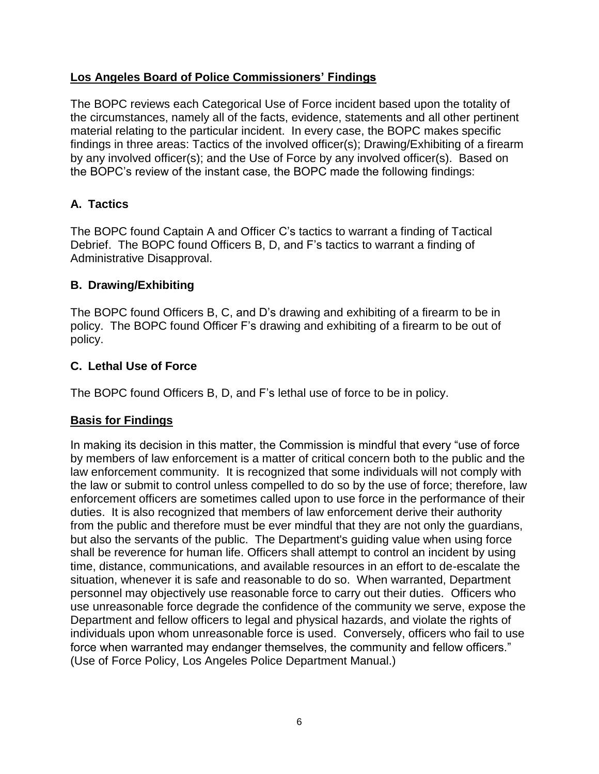## **Los Angeles Board of Police Commissioners' Findings**

The BOPC reviews each Categorical Use of Force incident based upon the totality of the circumstances, namely all of the facts, evidence, statements and all other pertinent material relating to the particular incident. In every case, the BOPC makes specific findings in three areas: Tactics of the involved officer(s); Drawing/Exhibiting of a firearm by any involved officer(s); and the Use of Force by any involved officer(s). Based on the BOPC's review of the instant case, the BOPC made the following findings:

# **A. Tactics**

The BOPC found Captain A and Officer C's tactics to warrant a finding of Tactical Debrief. The BOPC found Officers B, D, and F's tactics to warrant a finding of Administrative Disapproval.

## **B. Drawing/Exhibiting**

The BOPC found Officers B, C, and D's drawing and exhibiting of a firearm to be in policy. The BOPC found Officer F's drawing and exhibiting of a firearm to be out of policy.

## **C. Lethal Use of Force**

The BOPC found Officers B, D, and F's lethal use of force to be in policy.

## **Basis for Findings**

In making its decision in this matter, the Commission is mindful that every "use of force by members of law enforcement is a matter of critical concern both to the public and the law enforcement community. It is recognized that some individuals will not comply with the law or submit to control unless compelled to do so by the use of force; therefore, law enforcement officers are sometimes called upon to use force in the performance of their duties. It is also recognized that members of law enforcement derive their authority from the public and therefore must be ever mindful that they are not only the guardians, but also the servants of the public. The Department's guiding value when using force shall be reverence for human life. Officers shall attempt to control an incident by using time, distance, communications, and available resources in an effort to de-escalate the situation, whenever it is safe and reasonable to do so. When warranted, Department personnel may objectively use reasonable force to carry out their duties. Officers who use unreasonable force degrade the confidence of the community we serve, expose the Department and fellow officers to legal and physical hazards, and violate the rights of individuals upon whom unreasonable force is used. Conversely, officers who fail to use force when warranted may endanger themselves, the community and fellow officers." (Use of Force Policy, Los Angeles Police Department Manual.)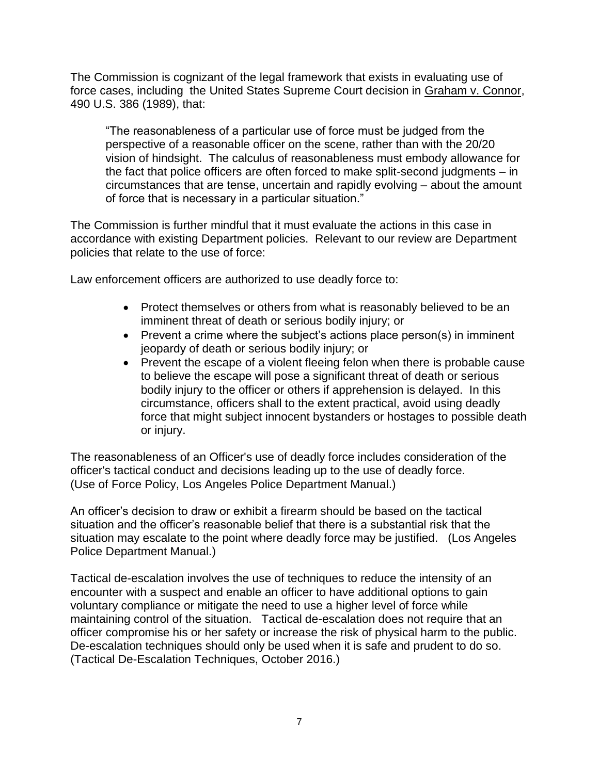The Commission is cognizant of the legal framework that exists in evaluating use of force cases, including the United States Supreme Court decision in Graham v. Connor, 490 U.S. 386 (1989), that:

"The reasonableness of a particular use of force must be judged from the perspective of a reasonable officer on the scene, rather than with the 20/20 vision of hindsight. The calculus of reasonableness must embody allowance for the fact that police officers are often forced to make split-second judgments – in circumstances that are tense, uncertain and rapidly evolving – about the amount of force that is necessary in a particular situation."

The Commission is further mindful that it must evaluate the actions in this case in accordance with existing Department policies. Relevant to our review are Department policies that relate to the use of force:

Law enforcement officers are authorized to use deadly force to:

- Protect themselves or others from what is reasonably believed to be an imminent threat of death or serious bodily injury; or
- Prevent a crime where the subject's actions place person(s) in imminent jeopardy of death or serious bodily injury; or
- Prevent the escape of a violent fleeing felon when there is probable cause to believe the escape will pose a significant threat of death or serious bodily injury to the officer or others if apprehension is delayed. In this circumstance, officers shall to the extent practical, avoid using deadly force that might subject innocent bystanders or hostages to possible death or injury.

The reasonableness of an Officer's use of deadly force includes consideration of the officer's tactical conduct and decisions leading up to the use of deadly force. (Use of Force Policy, Los Angeles Police Department Manual.)

An officer's decision to draw or exhibit a firearm should be based on the tactical situation and the officer's reasonable belief that there is a substantial risk that the situation may escalate to the point where deadly force may be justified. (Los Angeles Police Department Manual.)

Tactical de-escalation involves the use of techniques to reduce the intensity of an encounter with a suspect and enable an officer to have additional options to gain voluntary compliance or mitigate the need to use a higher level of force while maintaining control of the situation. Tactical de-escalation does not require that an officer compromise his or her safety or increase the risk of physical harm to the public. De-escalation techniques should only be used when it is safe and prudent to do so. (Tactical De-Escalation Techniques, October 2016.)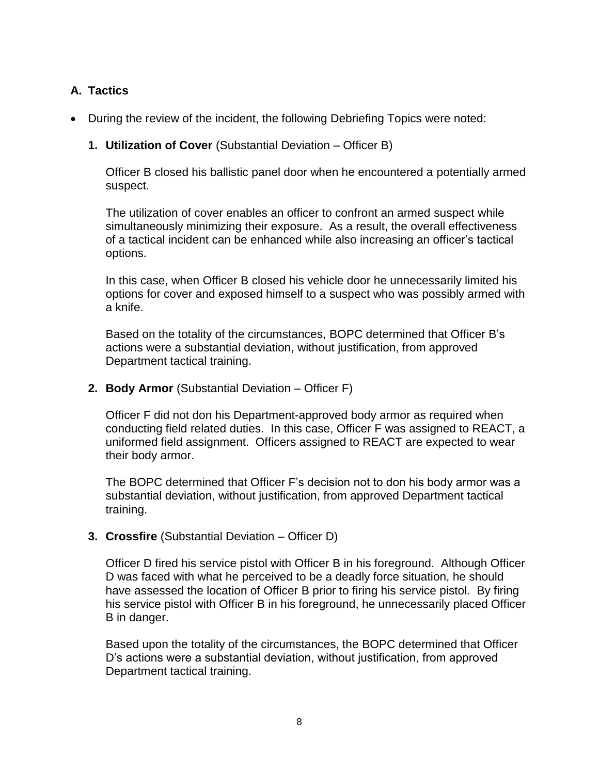# **A. Tactics**

• During the review of the incident, the following Debriefing Topics were noted:

#### **1. Utilization of Cover** (Substantial Deviation – Officer B)

Officer B closed his ballistic panel door when he encountered a potentially armed suspect.

The utilization of cover enables an officer to confront an armed suspect while simultaneously minimizing their exposure. As a result, the overall effectiveness of a tactical incident can be enhanced while also increasing an officer's tactical options.

In this case, when Officer B closed his vehicle door he unnecessarily limited his options for cover and exposed himself to a suspect who was possibly armed with a knife.

Based on the totality of the circumstances, BOPC determined that Officer B's actions were a substantial deviation, without justification, from approved Department tactical training.

**2. Body Armor** (Substantial Deviation – Officer F)

Officer F did not don his Department-approved body armor as required when conducting field related duties. In this case, Officer F was assigned to REACT, a uniformed field assignment. Officers assigned to REACT are expected to wear their body armor.

The BOPC determined that Officer F's decision not to don his body armor was a substantial deviation, without justification, from approved Department tactical training.

**3. Crossfire** (Substantial Deviation – Officer D)

Officer D fired his service pistol with Officer B in his foreground. Although Officer D was faced with what he perceived to be a deadly force situation, he should have assessed the location of Officer B prior to firing his service pistol. By firing his service pistol with Officer B in his foreground, he unnecessarily placed Officer B in danger.

Based upon the totality of the circumstances, the BOPC determined that Officer D's actions were a substantial deviation, without justification, from approved Department tactical training.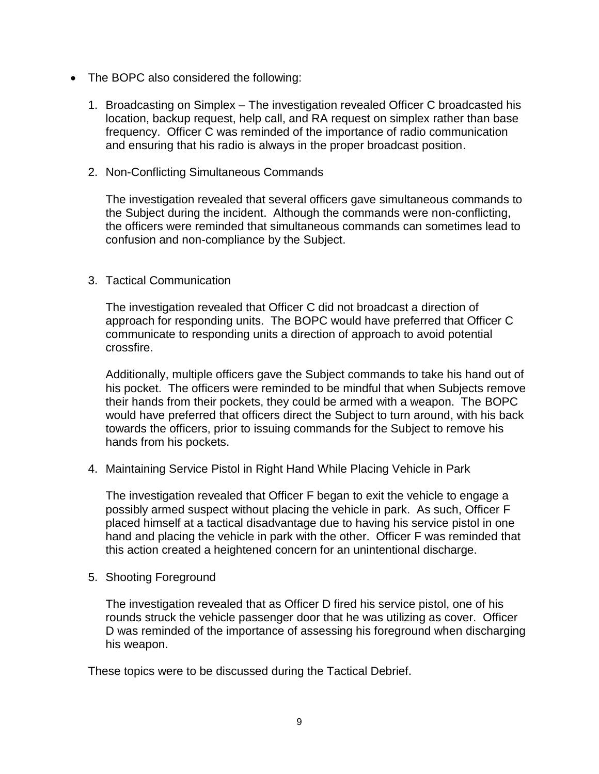- The BOPC also considered the following:
	- 1. Broadcasting on Simplex The investigation revealed Officer C broadcasted his location, backup request, help call, and RA request on simplex rather than base frequency. Officer C was reminded of the importance of radio communication and ensuring that his radio is always in the proper broadcast position.
	- 2. Non-Conflicting Simultaneous Commands

The investigation revealed that several officers gave simultaneous commands to the Subject during the incident. Although the commands were non-conflicting, the officers were reminded that simultaneous commands can sometimes lead to confusion and non-compliance by the Subject.

#### 3. Tactical Communication

The investigation revealed that Officer C did not broadcast a direction of approach for responding units. The BOPC would have preferred that Officer C communicate to responding units a direction of approach to avoid potential crossfire.

Additionally, multiple officers gave the Subject commands to take his hand out of his pocket. The officers were reminded to be mindful that when Subjects remove their hands from their pockets, they could be armed with a weapon. The BOPC would have preferred that officers direct the Subject to turn around, with his back towards the officers, prior to issuing commands for the Subject to remove his hands from his pockets.

4. Maintaining Service Pistol in Right Hand While Placing Vehicle in Park

The investigation revealed that Officer F began to exit the vehicle to engage a possibly armed suspect without placing the vehicle in park. As such, Officer F placed himself at a tactical disadvantage due to having his service pistol in one hand and placing the vehicle in park with the other. Officer F was reminded that this action created a heightened concern for an unintentional discharge.

5. Shooting Foreground

The investigation revealed that as Officer D fired his service pistol, one of his rounds struck the vehicle passenger door that he was utilizing as cover. Officer D was reminded of the importance of assessing his foreground when discharging his weapon.

These topics were to be discussed during the Tactical Debrief.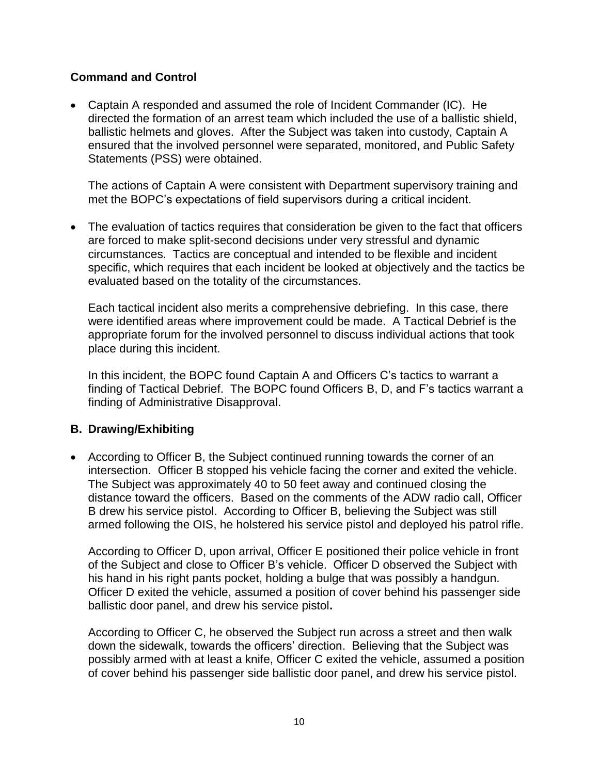#### **Command and Control**

• Captain A responded and assumed the role of Incident Commander (IC). He directed the formation of an arrest team which included the use of a ballistic shield, ballistic helmets and gloves. After the Subject was taken into custody, Captain A ensured that the involved personnel were separated, monitored, and Public Safety Statements (PSS) were obtained.

The actions of Captain A were consistent with Department supervisory training and met the BOPC's expectations of field supervisors during a critical incident.

• The evaluation of tactics requires that consideration be given to the fact that officers are forced to make split-second decisions under very stressful and dynamic circumstances. Tactics are conceptual and intended to be flexible and incident specific, which requires that each incident be looked at objectively and the tactics be evaluated based on the totality of the circumstances.

Each tactical incident also merits a comprehensive debriefing. In this case, there were identified areas where improvement could be made. A Tactical Debrief is the appropriate forum for the involved personnel to discuss individual actions that took place during this incident.

In this incident, the BOPC found Captain A and Officers C's tactics to warrant a finding of Tactical Debrief. The BOPC found Officers B, D, and F's tactics warrant a finding of Administrative Disapproval.

#### **B. Drawing/Exhibiting**

• According to Officer B, the Subject continued running towards the corner of an intersection. Officer B stopped his vehicle facing the corner and exited the vehicle. The Subject was approximately 40 to 50 feet away and continued closing the distance toward the officers. Based on the comments of the ADW radio call, Officer B drew his service pistol. According to Officer B, believing the Subject was still armed following the OIS, he holstered his service pistol and deployed his patrol rifle.

According to Officer D, upon arrival, Officer E positioned their police vehicle in front of the Subject and close to Officer B's vehicle. Officer D observed the Subject with his hand in his right pants pocket, holding a bulge that was possibly a handgun. Officer D exited the vehicle, assumed a position of cover behind his passenger side ballistic door panel, and drew his service pistol**.**

According to Officer C, he observed the Subject run across a street and then walk down the sidewalk, towards the officers' direction. Believing that the Subject was possibly armed with at least a knife, Officer C exited the vehicle, assumed a position of cover behind his passenger side ballistic door panel, and drew his service pistol.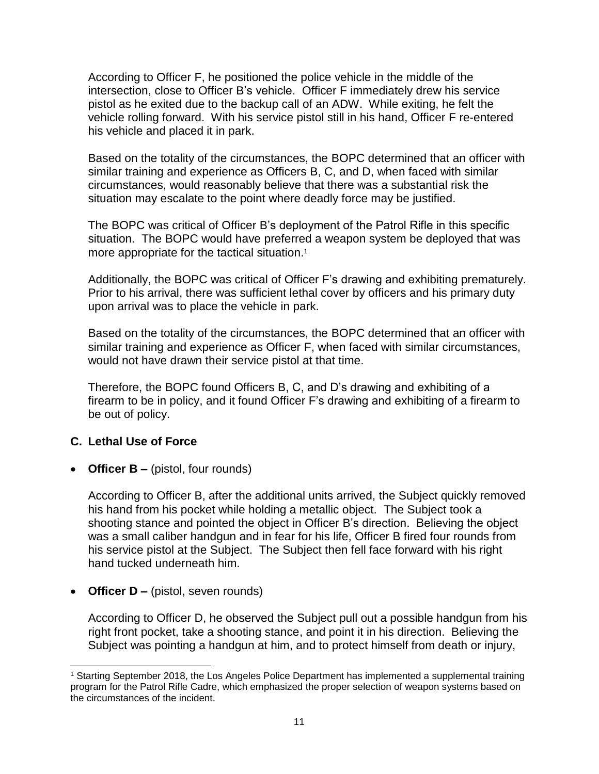According to Officer F, he positioned the police vehicle in the middle of the intersection, close to Officer B's vehicle. Officer F immediately drew his service pistol as he exited due to the backup call of an ADW. While exiting, he felt the vehicle rolling forward. With his service pistol still in his hand, Officer F re-entered his vehicle and placed it in park.

Based on the totality of the circumstances, the BOPC determined that an officer with similar training and experience as Officers B, C, and D, when faced with similar circumstances, would reasonably believe that there was a substantial risk the situation may escalate to the point where deadly force may be justified.

The BOPC was critical of Officer B's deployment of the Patrol Rifle in this specific situation. The BOPC would have preferred a weapon system be deployed that was more appropriate for the tactical situation.<sup>1</sup>

Additionally, the BOPC was critical of Officer F's drawing and exhibiting prematurely. Prior to his arrival, there was sufficient lethal cover by officers and his primary duty upon arrival was to place the vehicle in park.

Based on the totality of the circumstances, the BOPC determined that an officer with similar training and experience as Officer F, when faced with similar circumstances, would not have drawn their service pistol at that time.

Therefore, the BOPC found Officers B, C, and D's drawing and exhibiting of a firearm to be in policy, and it found Officer F's drawing and exhibiting of a firearm to be out of policy.

# **C. Lethal Use of Force**

• **Officer B –** (pistol, four rounds)

According to Officer B, after the additional units arrived, the Subject quickly removed his hand from his pocket while holding a metallic object. The Subject took a shooting stance and pointed the object in Officer B's direction. Believing the object was a small caliber handgun and in fear for his life, Officer B fired four rounds from his service pistol at the Subject. The Subject then fell face forward with his right hand tucked underneath him.

• **Officer D** – (pistol, seven rounds)

According to Officer D, he observed the Subject pull out a possible handgun from his right front pocket, take a shooting stance, and point it in his direction. Believing the Subject was pointing a handgun at him, and to protect himself from death or injury,

l <sup>1</sup> Starting September 2018, the Los Angeles Police Department has implemented a supplemental training program for the Patrol Rifle Cadre, which emphasized the proper selection of weapon systems based on the circumstances of the incident.